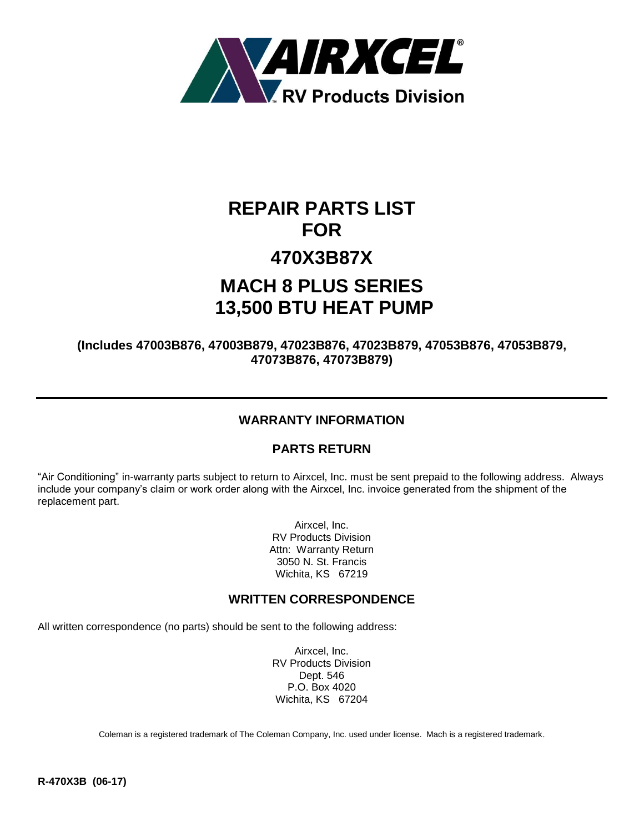

# **REPAIR PARTS LIST FOR 470X3B87X MACH 8 PLUS SERIES 13,500 BTU HEAT PUMP**

**(Includes 47003B876, 47003B879, 47023B876, 47023B879, 47053B876, 47053B879, 47073B876, 47073B879)**

## **WARRANTY INFORMATION**

### **PARTS RETURN**

"Air Conditioning" in-warranty parts subject to return to Airxcel, Inc. must be sent prepaid to the following address. Always include your company's claim or work order along with the Airxcel, Inc. invoice generated from the shipment of the replacement part.

> Airxcel, Inc. RV Products Division Attn: Warranty Return 3050 N. St. Francis Wichita, KS 67219

#### **WRITTEN CORRESPONDENCE**

All written correspondence (no parts) should be sent to the following address:

Airxcel, Inc. RV Products Division Dept. 546 P.O. Box 4020 Wichita, KS 67204

Coleman is a registered trademark of The Coleman Company, Inc. used under license. Mach is a registered trademark.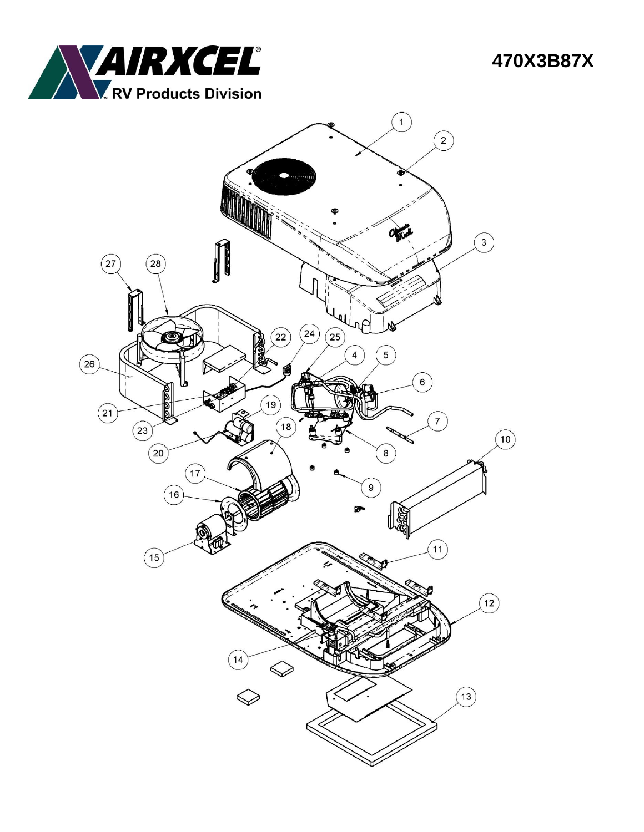